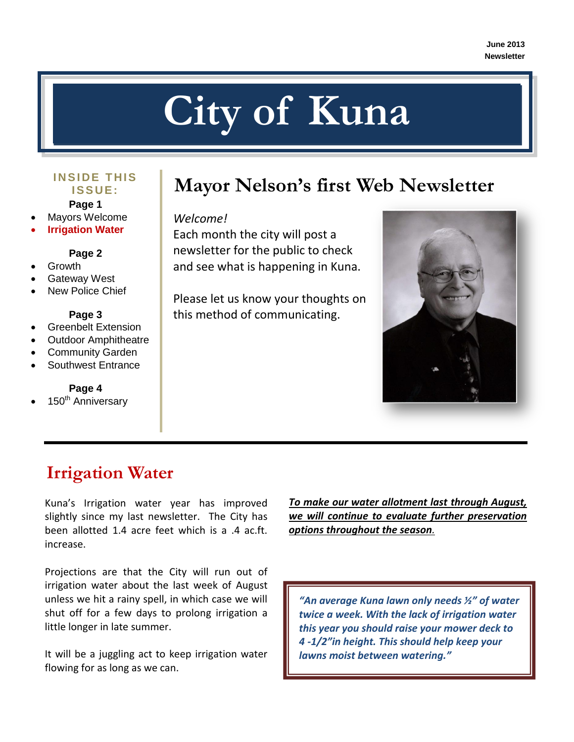# **City of Kuna**

# **I S S UE :**

**Page 1**

- Mayors Welcome
- **Irrigation Water**

**Page 2**

- Growth
- Gateway West
- New Police Chief

#### **Page 3**

- Greenbelt Extension
- Outdoor Amphitheatre
- Community Garden
- Southwest Entrance

#### **Page 4**

150<sup>th</sup> Anniversary

## **MARIGE THIS** Mayor Nelson's first Web Newsletter

#### *Welcome!*

Each month the city will post a newsletter for the public to check and see what is happening in Kuna.

Please let us know your thoughts on this method of communicating.



## **Irrigation Water**

Kuna's Irrigation water year has improved slightly since my last newsletter. The City has been allotted 1.4 acre feet which is a .4 ac.ft. increase.

Projections are that the City will run out of irrigation water about the last week of August unless we hit a rainy spell, in which case we will shut off for a few days to prolong irrigation a little longer in late summer.

It will be a juggling act to keep irrigation water flowing for as long as we can.

*To make our water allotment last through August, we will continue to evaluate further preservation options throughout the season.*

*"An average Kuna lawn only needs ½" of water twice a week. With the lack of irrigation water this year you should raise your mower deck to 4 -1/2"in height. This should help keep your lawns moist between watering."*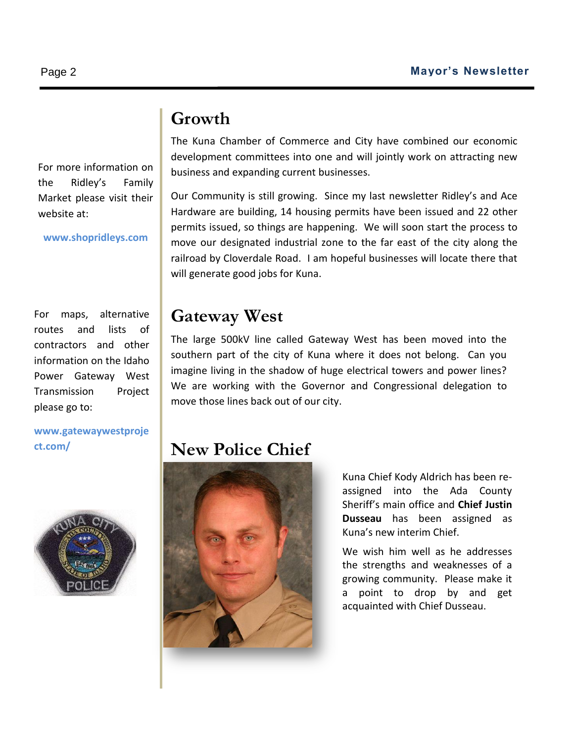#### **Growth**

For more information on the Ridley's Family Market please visit their website at:

**www.shopridleys.com**

For maps, alternative routes and lists of contractors and other information on the Idaho Power Gateway West Transmission Project please go to:

**www.gatewaywestproje ct.com/**



The Kuna Chamber of Commerce and City have combined our economic development committees into one and will jointly work on attracting new business and expanding current businesses.

Our Community is still growing. Since my last newsletter Ridley's and Ace Hardware are building, 14 housing permits have been issued and 22 other permits issued, so things are happening. We will soon start the process to move our designated industrial zone to the far east of the city along the railroad by Cloverdale Road. I am hopeful businesses will locate there that will generate good jobs for Kuna.

#### **Gateway West**

The large 500kV line called Gateway West has been moved into the southern part of the city of Kuna where it does not belong. Can you imagine living in the shadow of huge electrical towers and power lines? We are working with the Governor and Congressional delegation to move those lines back out of our city.

### **New Police Chief**



Kuna Chief Kody Aldrich has been reassigned into the Ada County Sheriff's main office and **Chief Justin Dusseau** has been assigned as Kuna's new interim Chief.

We wish him well as he addresses the strengths and weaknesses of a growing community. Please make it a point to drop by and get acquainted with Chief Dusseau.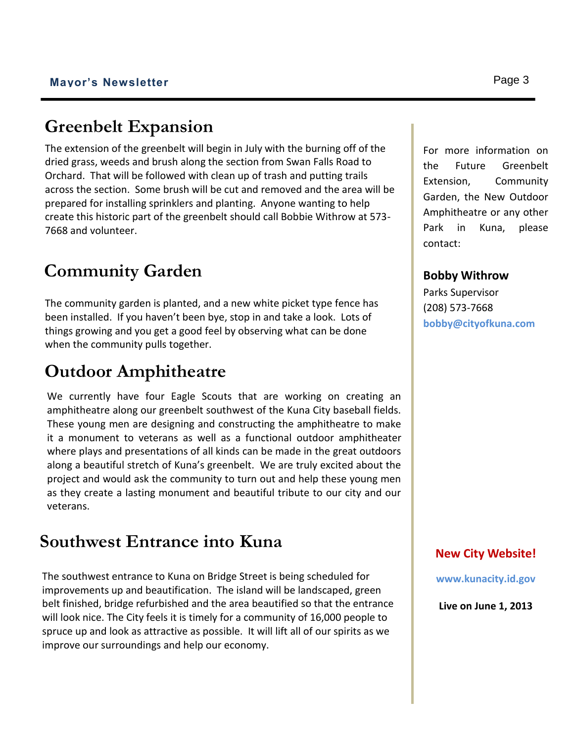### **Greenbelt Expansion**

The extension of the greenbelt will begin in July with the burning off of the dried grass, weeds and brush along the section from Swan Falls Road to Orchard. That will be followed with clean up of trash and putting trails across the section. Some brush will be cut and removed and the area will be prepared for installing sprinklers and planting. Anyone wanting to help create this historic part of the greenbelt should call Bobbie Withrow at 573- 7668 and volunteer.

## **Community Garden**

The community garden is planted, and a new white picket type fence has been installed. If you haven't been bye, stop in and take a look. Lots of things growing and you get a good feel by observing what can be done when the community pulls together.

## **Outdoor Amphitheatre**

We currently have four Eagle Scouts that are working on creating an amphitheatre along our greenbelt southwest of the Kuna City baseball fields. These young men are designing and constructing the amphitheatre to make it a monument to veterans as well as a functional outdoor amphitheater where plays and presentations of all kinds can be made in the great outdoors along a beautiful stretch of Kuna's greenbelt. We are truly excited about the project and would ask the community to turn out and help these young men as they create a lasting monument and beautiful tribute to our city and our veterans.

## **Southwest Entrance into Kuna**

The southwest entrance to Kuna on Bridge Street is being scheduled for improvements up and beautification. The island will be landscaped, green belt finished, bridge refurbished and the area beautified so that the entrance will look nice. The City feels it is timely for a community of 16,000 people to spruce up and look as attractive as possible. It will lift all of our spirits as we improve our surroundings and help our economy.

For more information on the Future Greenbelt Extension, Community Garden, the New Outdoor Amphitheatre or any other Park in Kuna, please contact:

#### **Bobby Withrow**

Parks Supervisor (208) 573-7668 **bobby@cityofkuna.com**

#### **New City Website!**

**www.kunacity.id.gov**

**Live on June 1, 2013**